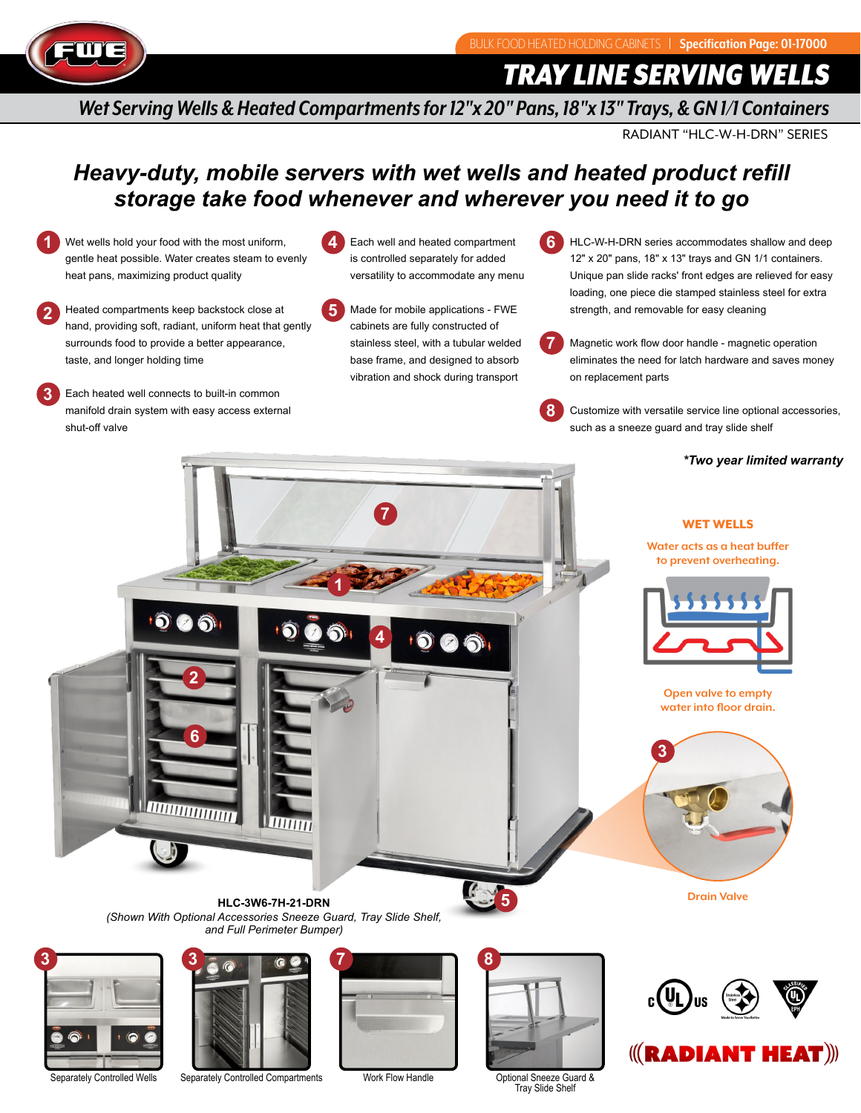

**2**

**3**

*TRAY LINE SERVING WELLS*

*Wet Serving Wells & Heated Compartments for 12"x 20" Pans, 18"x 13" Trays, & GN 1/1 Containers*

**6**

**8**

RADIANT "HLC-W-H-DRN" SERIES

## *Heavy-duty, mobile servers with wet wells and heated product refill storage take food whenever and wherever you need it to go*

Each well and heated compartment

**1** Wet wells hold your food with the most uniform, gentle heat possible. Water creates steam to evenly heat pans, maximizing product quality

surrounds food to provide a better appearance,

Each heated well connects to built-in common manifold drain system with easy access external

taste, and longer holding time

shut-off valve

Heated compartments keep backstock close at is controlled separately for added versatility to accommodate any menu

**4**

- **5** hand, providing soft, radiant, uniform heat that gently Made for mobile applications - FWE cabinets are fully constructed of stainless steel, with a tubular welded base frame, and designed to absorb vibration and shock during transport
- HLC-W-H-DRN series accommodates shallow and deep 12" x 20" pans, 18" x 13" trays and GN 1/1 containers. Unique pan slide racks' front edges are relieved for easy loading, one piece die stamped stainless steel for extra strength, and removable for easy cleaning
- **7** Magnetic work flow door handle - magnetic operation eliminates the need for latch hardware and saves money on replacement parts

Customize with versatile service line optional accessories, such as a sneeze guard and tray slide shelf

### *\*Two year limited warranty*

 $\left\langle\left(\mathbf{R}\mathbf{AD}\mathbf{IANT}\ \mathbf{HEAT}\right)\right\rangle\right\langle\left(\mathbf{RAD}\mathbf{IANT}\ \mathbf{HEAT}\right)\right\rangle$ 





Optional Sneeze Guard & Tray Slide Shelf